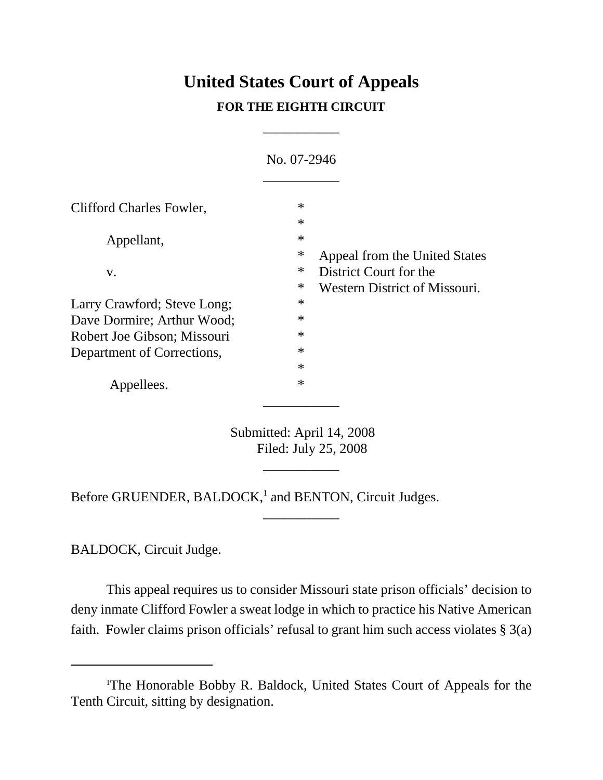# **United States Court of Appeals FOR THE EIGHTH CIRCUIT**

\_\_\_\_\_\_\_\_\_\_\_

|                             | No. 07-2946                                                                                             |  |
|-----------------------------|---------------------------------------------------------------------------------------------------------|--|
| Clifford Charles Fowler,    | $\ast$<br>$\ast$                                                                                        |  |
| Appellant,                  | $\ast$<br>$\ast$                                                                                        |  |
| V.                          | Appeal from the United States<br>$\ast$<br>District Court for the<br>∗<br>Western District of Missouri. |  |
| Larry Crawford; Steve Long; | $\ast$                                                                                                  |  |
| Dave Dormire; Arthur Wood;  | $\ast$                                                                                                  |  |
| Robert Joe Gibson; Missouri | $\ast$                                                                                                  |  |
| Department of Corrections,  | $\ast$                                                                                                  |  |
|                             | $\ast$                                                                                                  |  |
| Appellees.                  | $\ast$                                                                                                  |  |

Submitted: April 14, 2008 Filed: July 25, 2008

\_\_\_\_\_\_\_\_\_\_\_

\_\_\_\_\_\_\_\_\_\_\_

Before GRUENDER, BALDOCK,<sup>1</sup> and BENTON, Circuit Judges.

BALDOCK, Circuit Judge.

This appeal requires us to consider Missouri state prison officials' decision to deny inmate Clifford Fowler a sweat lodge in which to practice his Native American faith. Fowler claims prison officials' refusal to grant him such access violates § 3(a)

<sup>1</sup> The Honorable Bobby R. Baldock, United States Court of Appeals for the Tenth Circuit, sitting by designation.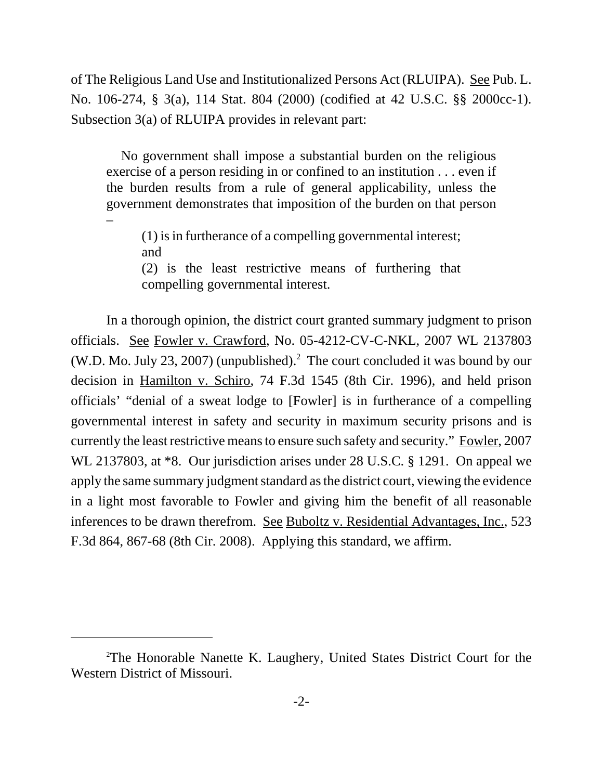of The Religious Land Use and Institutionalized Persons Act (RLUIPA). See Pub. L. No. 106-274, § 3(a), 114 Stat. 804 (2000) (codified at 42 U.S.C. §§ 2000cc-1). Subsection 3(a) of RLUIPA provides in relevant part:

 No government shall impose a substantial burden on the religious exercise of a person residing in or confined to an institution . . . even if the burden results from a rule of general applicability, unless the government demonstrates that imposition of the burden on that person

(1) is in furtherance of a compelling governmental interest; and (2) is the least restrictive means of furthering that

compelling governmental interest.

–

In a thorough opinion, the district court granted summary judgment to prison officials. See Fowler v. Crawford, No. 05-4212-CV-C-NKL, 2007 WL 2137803 (W.D. Mo. July 23, 2007) (unpublished).<sup>2</sup> The court concluded it was bound by our decision in Hamilton v. Schiro, 74 F.3d 1545 (8th Cir. 1996), and held prison officials' "denial of a sweat lodge to [Fowler] is in furtherance of a compelling governmental interest in safety and security in maximum security prisons and is currently the least restrictive means to ensure such safety and security." Fowler, 2007 WL 2137803, at \*8. Our jurisdiction arises under 28 U.S.C. § 1291. On appeal we apply the same summary judgment standard as the district court, viewing the evidence in a light most favorable to Fowler and giving him the benefit of all reasonable inferences to be drawn therefrom. See Buboltz v. Residential Advantages, Inc., 523 F.3d 864, 867-68 (8th Cir. 2008). Applying this standard, we affirm.

<sup>2</sup> The Honorable Nanette K. Laughery, United States District Court for the Western District of Missouri.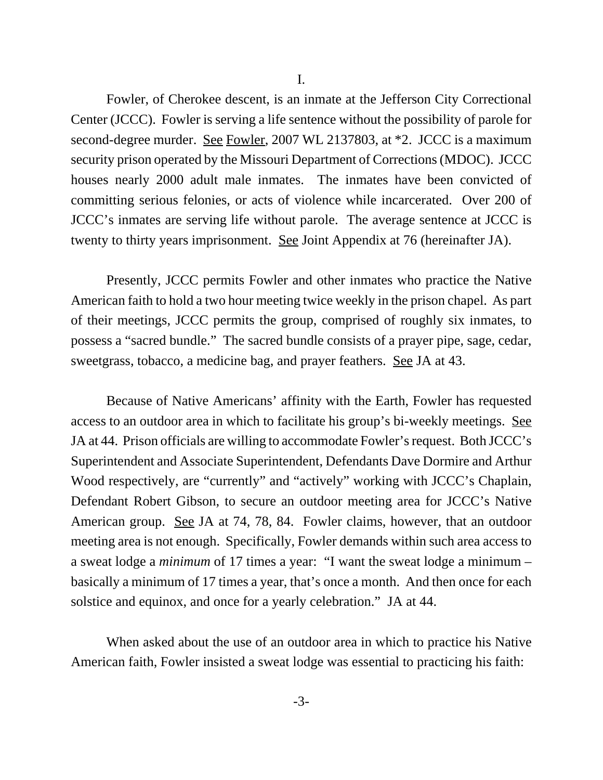Fowler, of Cherokee descent, is an inmate at the Jefferson City Correctional Center (JCCC). Fowler is serving a life sentence without the possibility of parole for second-degree murder. <u>See Fowler</u>, 2007 WL 2137803, at \*2. JCCC is a maximum security prison operated by the Missouri Department of Corrections (MDOC). JCCC houses nearly 2000 adult male inmates. The inmates have been convicted of committing serious felonies, or acts of violence while incarcerated. Over 200 of JCCC's inmates are serving life without parole. The average sentence at JCCC is twenty to thirty years imprisonment. See Joint Appendix at 76 (hereinafter JA).

Presently, JCCC permits Fowler and other inmates who practice the Native American faith to hold a two hour meeting twice weekly in the prison chapel. As part of their meetings, JCCC permits the group, comprised of roughly six inmates, to possess a "sacred bundle." The sacred bundle consists of a prayer pipe, sage, cedar, sweetgrass, tobacco, a medicine bag, and prayer feathers. See JA at 43.

Because of Native Americans' affinity with the Earth, Fowler has requested access to an outdoor area in which to facilitate his group's bi-weekly meetings. See JA at 44. Prison officials are willing to accommodate Fowler's request. Both JCCC's Superintendent and Associate Superintendent, Defendants Dave Dormire and Arthur Wood respectively, are "currently" and "actively" working with JCCC's Chaplain, Defendant Robert Gibson, to secure an outdoor meeting area for JCCC's Native American group. See JA at 74, 78, 84. Fowler claims, however, that an outdoor meeting area is not enough. Specifically, Fowler demands within such area access to a sweat lodge a *minimum* of 17 times a year: "I want the sweat lodge a minimum – basically a minimum of 17 times a year, that's once a month. And then once for each solstice and equinox, and once for a yearly celebration." JA at 44.

When asked about the use of an outdoor area in which to practice his Native American faith, Fowler insisted a sweat lodge was essential to practicing his faith: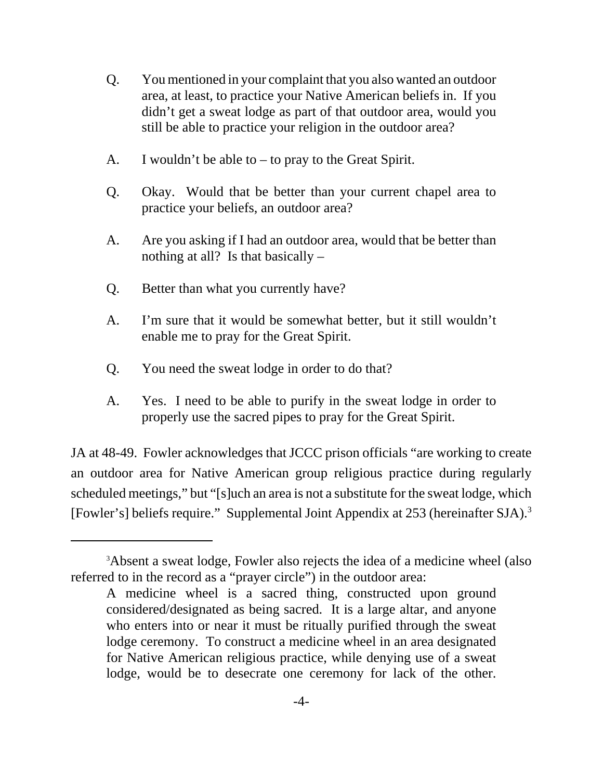- Q. You mentioned in your complaint that you also wanted an outdoor area, at least, to practice your Native American beliefs in. If you didn't get a sweat lodge as part of that outdoor area, would you still be able to practice your religion in the outdoor area?
- A. I wouldn't be able to to pray to the Great Spirit.
- Q. Okay. Would that be better than your current chapel area to practice your beliefs, an outdoor area?
- A. Are you asking if I had an outdoor area, would that be better than nothing at all? Is that basically –
- Q. Better than what you currently have?
- A. I'm sure that it would be somewhat better, but it still wouldn't enable me to pray for the Great Spirit.
- Q. You need the sweat lodge in order to do that?
- A. Yes. I need to be able to purify in the sweat lodge in order to properly use the sacred pipes to pray for the Great Spirit.

JA at 48-49. Fowler acknowledges that JCCC prison officials "are working to create an outdoor area for Native American group religious practice during regularly scheduled meetings," but "[s]uch an area is not a substitute for the sweat lodge, which [Fowler's] beliefs require." Supplemental Joint Appendix at 253 (hereinafter SJA).3

<sup>&</sup>lt;sup>3</sup>Absent a sweat lodge, Fowler also rejects the idea of a medicine wheel (also referred to in the record as a "prayer circle") in the outdoor area:

A medicine wheel is a sacred thing, constructed upon ground considered/designated as being sacred. It is a large altar, and anyone who enters into or near it must be ritually purified through the sweat lodge ceremony. To construct a medicine wheel in an area designated for Native American religious practice, while denying use of a sweat lodge, would be to desecrate one ceremony for lack of the other.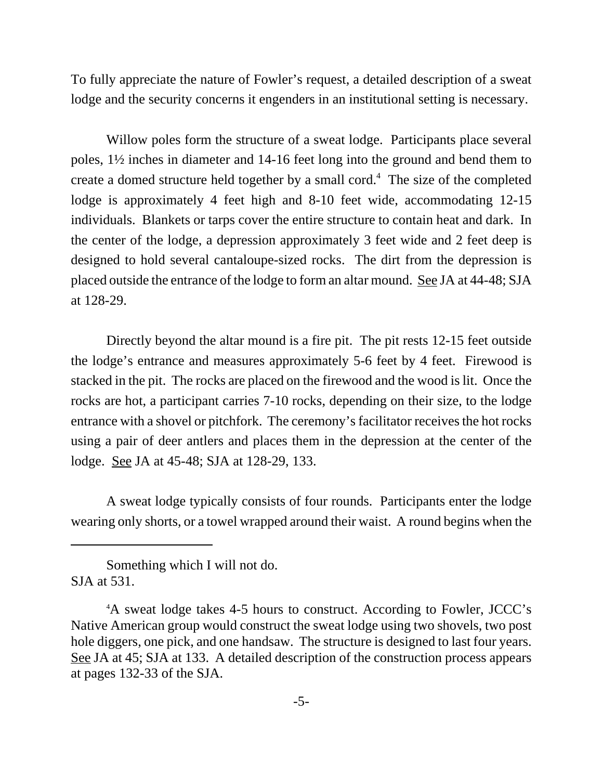To fully appreciate the nature of Fowler's request, a detailed description of a sweat lodge and the security concerns it engenders in an institutional setting is necessary.

Willow poles form the structure of a sweat lodge. Participants place several poles, 1½ inches in diameter and 14-16 feet long into the ground and bend them to create a domed structure held together by a small cord.<sup>4</sup> The size of the completed lodge is approximately 4 feet high and 8-10 feet wide, accommodating 12-15 individuals. Blankets or tarps cover the entire structure to contain heat and dark. In the center of the lodge, a depression approximately 3 feet wide and 2 feet deep is designed to hold several cantaloupe-sized rocks. The dirt from the depression is placed outside the entrance of the lodge to form an altar mound. See JA at 44-48; SJA at 128-29.

Directly beyond the altar mound is a fire pit. The pit rests 12-15 feet outside the lodge's entrance and measures approximately 5-6 feet by 4 feet. Firewood is stacked in the pit. The rocks are placed on the firewood and the wood is lit. Once the rocks are hot, a participant carries 7-10 rocks, depending on their size, to the lodge entrance with a shovel or pitchfork. The ceremony's facilitator receives the hot rocks using a pair of deer antlers and places them in the depression at the center of the lodge. See JA at 45-48; SJA at 128-29, 133.

A sweat lodge typically consists of four rounds. Participants enter the lodge wearing only shorts, or a towel wrapped around their waist. A round begins when the

Something which I will not do. SJA at 531.

<sup>4</sup> A sweat lodge takes 4-5 hours to construct. According to Fowler, JCCC's Native American group would construct the sweat lodge using two shovels, two post hole diggers, one pick, and one handsaw. The structure is designed to last four years. See JA at 45; SJA at 133. A detailed description of the construction process appears at pages 132-33 of the SJA.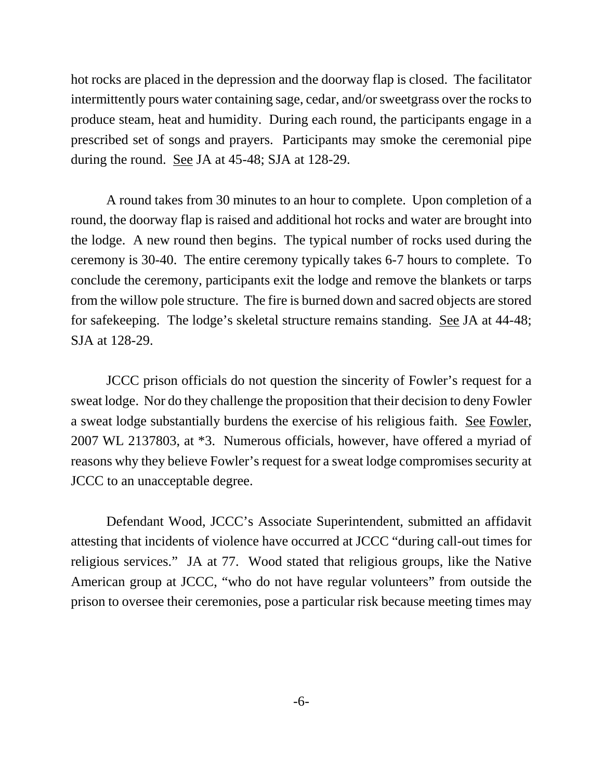hot rocks are placed in the depression and the doorway flap is closed. The facilitator intermittently pours water containing sage, cedar, and/or sweetgrass over the rocks to produce steam, heat and humidity. During each round, the participants engage in a prescribed set of songs and prayers. Participants may smoke the ceremonial pipe during the round. See JA at 45-48; SJA at 128-29.

A round takes from 30 minutes to an hour to complete. Upon completion of a round, the doorway flap is raised and additional hot rocks and water are brought into the lodge. A new round then begins. The typical number of rocks used during the ceremony is 30-40. The entire ceremony typically takes 6-7 hours to complete. To conclude the ceremony, participants exit the lodge and remove the blankets or tarps from the willow pole structure. The fire is burned down and sacred objects are stored for safekeeping. The lodge's skeletal structure remains standing. See JA at 44-48; SJA at 128-29.

JCCC prison officials do not question the sincerity of Fowler's request for a sweat lodge. Nor do they challenge the proposition that their decision to deny Fowler a sweat lodge substantially burdens the exercise of his religious faith. See Fowler, 2007 WL 2137803, at \*3. Numerous officials, however, have offered a myriad of reasons why they believe Fowler's request for a sweat lodge compromises security at JCCC to an unacceptable degree.

Defendant Wood, JCCC's Associate Superintendent, submitted an affidavit attesting that incidents of violence have occurred at JCCC "during call-out times for religious services." JA at 77. Wood stated that religious groups, like the Native American group at JCCC, "who do not have regular volunteers" from outside the prison to oversee their ceremonies, pose a particular risk because meeting times may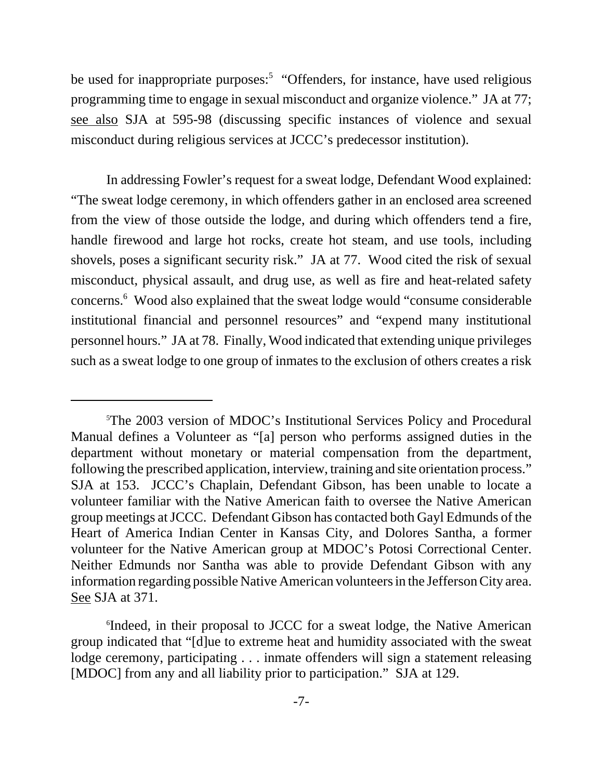be used for inappropriate purposes:<sup>5</sup> "Offenders, for instance, have used religious programming time to engage in sexual misconduct and organize violence." JA at 77; see also SJA at 595-98 (discussing specific instances of violence and sexual misconduct during religious services at JCCC's predecessor institution).

In addressing Fowler's request for a sweat lodge, Defendant Wood explained: "The sweat lodge ceremony, in which offenders gather in an enclosed area screened from the view of those outside the lodge, and during which offenders tend a fire, handle firewood and large hot rocks, create hot steam, and use tools, including shovels, poses a significant security risk." JA at 77. Wood cited the risk of sexual misconduct, physical assault, and drug use, as well as fire and heat-related safety concerns.<sup>6</sup> Wood also explained that the sweat lodge would "consume considerable institutional financial and personnel resources" and "expend many institutional personnel hours." JA at 78. Finally, Wood indicated that extending unique privileges such as a sweat lodge to one group of inmates to the exclusion of others creates a risk

<sup>5</sup> The 2003 version of MDOC's Institutional Services Policy and Procedural Manual defines a Volunteer as "[a] person who performs assigned duties in the department without monetary or material compensation from the department, following the prescribed application, interview, training and site orientation process." SJA at 153. JCCC's Chaplain, Defendant Gibson, has been unable to locate a volunteer familiar with the Native American faith to oversee the Native American group meetings at JCCC. Defendant Gibson has contacted both Gayl Edmunds of the Heart of America Indian Center in Kansas City, and Dolores Santha, a former volunteer for the Native American group at MDOC's Potosi Correctional Center. Neither Edmunds nor Santha was able to provide Defendant Gibson with any information regarding possible Native American volunteers in the Jefferson City area. See SJA at 371.

<sup>6</sup> Indeed, in their proposal to JCCC for a sweat lodge, the Native American group indicated that "[d]ue to extreme heat and humidity associated with the sweat lodge ceremony, participating . . . inmate offenders will sign a statement releasing [MDOC] from any and all liability prior to participation." SJA at 129.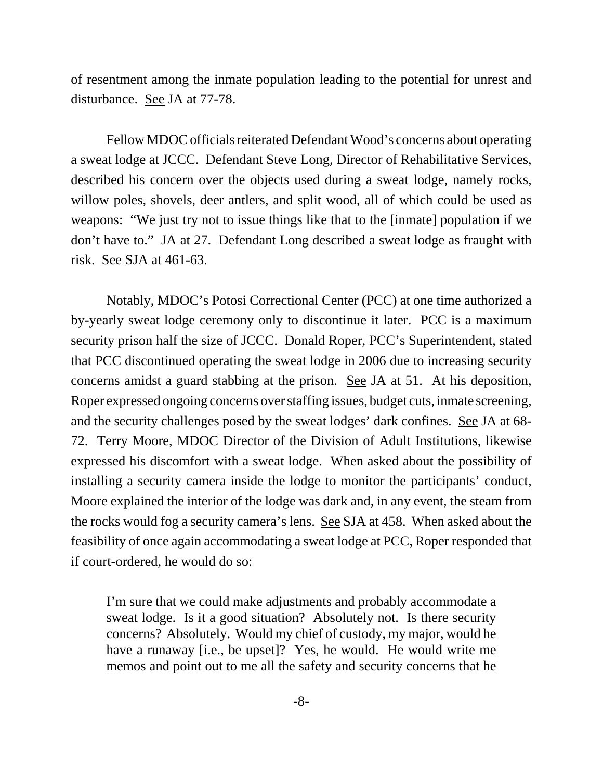of resentment among the inmate population leading to the potential for unrest and disturbance. See JA at 77-78.

Fellow MDOC officials reiterated Defendant Wood's concerns about operating a sweat lodge at JCCC. Defendant Steve Long, Director of Rehabilitative Services, described his concern over the objects used during a sweat lodge, namely rocks, willow poles, shovels, deer antlers, and split wood, all of which could be used as weapons: "We just try not to issue things like that to the [inmate] population if we don't have to." JA at 27. Defendant Long described a sweat lodge as fraught with risk. See SJA at 461-63.

Notably, MDOC's Potosi Correctional Center (PCC) at one time authorized a by-yearly sweat lodge ceremony only to discontinue it later. PCC is a maximum security prison half the size of JCCC. Donald Roper, PCC's Superintendent, stated that PCC discontinued operating the sweat lodge in 2006 due to increasing security concerns amidst a guard stabbing at the prison. See JA at 51. At his deposition, Roper expressed ongoing concerns over staffing issues, budget cuts, inmate screening, and the security challenges posed by the sweat lodges' dark confines. See JA at 68- 72. Terry Moore, MDOC Director of the Division of Adult Institutions, likewise expressed his discomfort with a sweat lodge. When asked about the possibility of installing a security camera inside the lodge to monitor the participants' conduct, Moore explained the interior of the lodge was dark and, in any event, the steam from the rocks would fog a security camera's lens. See SJA at 458. When asked about the feasibility of once again accommodating a sweat lodge at PCC, Roper responded that if court-ordered, he would do so:

I'm sure that we could make adjustments and probably accommodate a sweat lodge. Is it a good situation? Absolutely not. Is there security concerns? Absolutely. Would my chief of custody, my major, would he have a runaway [i.e., be upset]? Yes, he would. He would write me memos and point out to me all the safety and security concerns that he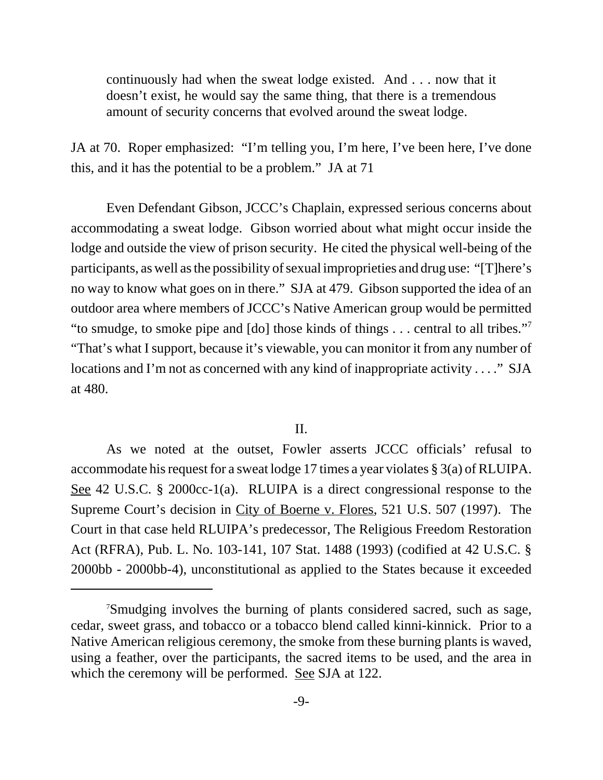continuously had when the sweat lodge existed. And . . . now that it doesn't exist, he would say the same thing, that there is a tremendous amount of security concerns that evolved around the sweat lodge.

JA at 70. Roper emphasized: "I'm telling you, I'm here, I've been here, I've done this, and it has the potential to be a problem." JA at 71

Even Defendant Gibson, JCCC's Chaplain, expressed serious concerns about accommodating a sweat lodge. Gibson worried about what might occur inside the lodge and outside the view of prison security. He cited the physical well-being of the participants, as well as the possibility of sexual improprieties and drug use: "[T]here's no way to know what goes on in there." SJA at 479. Gibson supported the idea of an outdoor area where members of JCCC's Native American group would be permitted "to smudge, to smoke pipe and [do] those kinds of things . . . central to all tribes."7 "That's what I support, because it's viewable, you can monitor it from any number of locations and I'm not as concerned with any kind of inappropriate activity . . . . " SJA at 480.

## II.

As we noted at the outset, Fowler asserts JCCC officials' refusal to accommodate his request for a sweat lodge 17 times a year violates § 3(a) of RLUIPA. See 42 U.S.C. § 2000cc-1(a). RLUIPA is a direct congressional response to the Supreme Court's decision in City of Boerne v. Flores, 521 U.S. 507 (1997). The Court in that case held RLUIPA's predecessor, The Religious Freedom Restoration Act (RFRA), Pub. L. No. 103-141, 107 Stat. 1488 (1993) (codified at 42 U.S.C. § 2000bb - 2000bb-4), unconstitutional as applied to the States because it exceeded

<sup>7</sup> Smudging involves the burning of plants considered sacred, such as sage, cedar, sweet grass, and tobacco or a tobacco blend called kinni-kinnick. Prior to a Native American religious ceremony, the smoke from these burning plants is waved, using a feather, over the participants, the sacred items to be used, and the area in which the ceremony will be performed. See SJA at 122.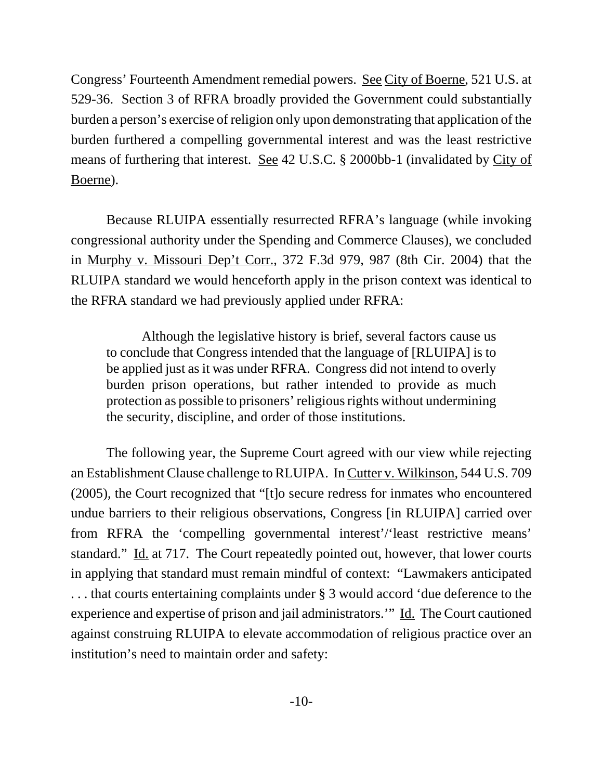Congress' Fourteenth Amendment remedial powers. See City of Boerne, 521 U.S. at 529-36. Section 3 of RFRA broadly provided the Government could substantially burden a person's exercise of religion only upon demonstrating that application of the burden furthered a compelling governmental interest and was the least restrictive means of furthering that interest. See 42 U.S.C. § 2000bb-1 (invalidated by City of Boerne).

Because RLUIPA essentially resurrected RFRA's language (while invoking congressional authority under the Spending and Commerce Clauses), we concluded in Murphy v. Missouri Dep't Corr., 372 F.3d 979, 987 (8th Cir. 2004) that the RLUIPA standard we would henceforth apply in the prison context was identical to the RFRA standard we had previously applied under RFRA:

Although the legislative history is brief, several factors cause us to conclude that Congress intended that the language of [RLUIPA] is to be applied just as it was under RFRA. Congress did not intend to overly burden prison operations, but rather intended to provide as much protection as possible to prisoners' religious rights without undermining the security, discipline, and order of those institutions.

The following year, the Supreme Court agreed with our view while rejecting an Establishment Clause challenge to RLUIPA. In Cutter v. Wilkinson, 544 U.S. 709 (2005), the Court recognized that "[t]o secure redress for inmates who encountered undue barriers to their religious observations, Congress [in RLUIPA] carried over from RFRA the 'compelling governmental interest'/'least restrictive means' standard." Id. at 717. The Court repeatedly pointed out, however, that lower courts in applying that standard must remain mindful of context: "Lawmakers anticipated . . . that courts entertaining complaints under § 3 would accord 'due deference to the experience and expertise of prison and jail administrators.'" Id. The Court cautioned against construing RLUIPA to elevate accommodation of religious practice over an institution's need to maintain order and safety: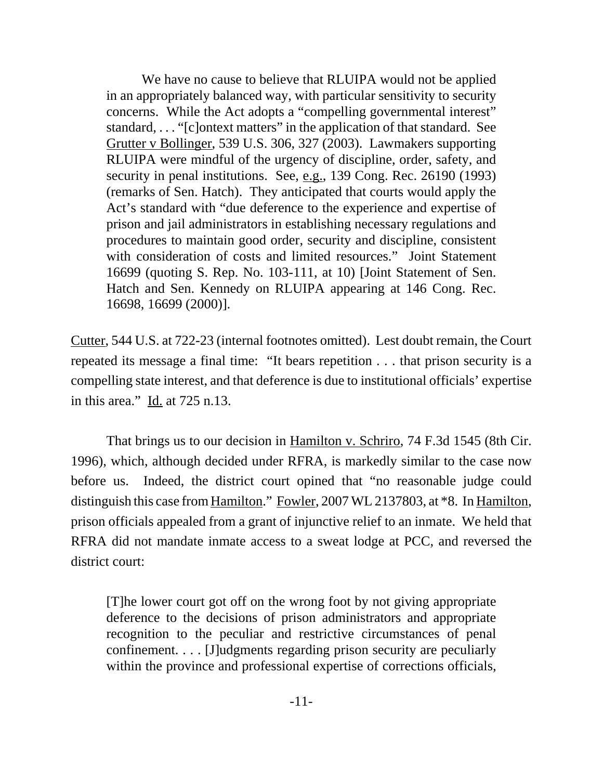We have no cause to believe that RLUIPA would not be applied in an appropriately balanced way, with particular sensitivity to security concerns. While the Act adopts a "compelling governmental interest" standard, . . . "[c]ontext matters" in the application of that standard. See Grutter v Bollinger, 539 U.S. 306, 327 (2003). Lawmakers supporting RLUIPA were mindful of the urgency of discipline, order, safety, and security in penal institutions. See, e.g., 139 Cong. Rec. 26190 (1993) (remarks of Sen. Hatch). They anticipated that courts would apply the Act's standard with "due deference to the experience and expertise of prison and jail administrators in establishing necessary regulations and procedures to maintain good order, security and discipline, consistent with consideration of costs and limited resources." Joint Statement 16699 (quoting S. Rep. No. 103-111, at 10) [Joint Statement of Sen. Hatch and Sen. Kennedy on RLUIPA appearing at 146 Cong. Rec. 16698, 16699 (2000)].

Cutter, 544 U.S. at 722-23 (internal footnotes omitted). Lest doubt remain, the Court repeated its message a final time: "It bears repetition . . . that prison security is a compelling state interest, and that deference is due to institutional officials' expertise in this area." Id. at 725 n.13.

That brings us to our decision in Hamilton v. Schriro, 74 F.3d 1545 (8th Cir. 1996), which, although decided under RFRA, is markedly similar to the case now before us. Indeed, the district court opined that "no reasonable judge could distinguish this case from Hamilton." Fowler, 2007 WL 2137803, at \*8. In Hamilton, prison officials appealed from a grant of injunctive relief to an inmate. We held that RFRA did not mandate inmate access to a sweat lodge at PCC, and reversed the district court:

[T]he lower court got off on the wrong foot by not giving appropriate deference to the decisions of prison administrators and appropriate recognition to the peculiar and restrictive circumstances of penal confinement. . . . [J]udgments regarding prison security are peculiarly within the province and professional expertise of corrections officials,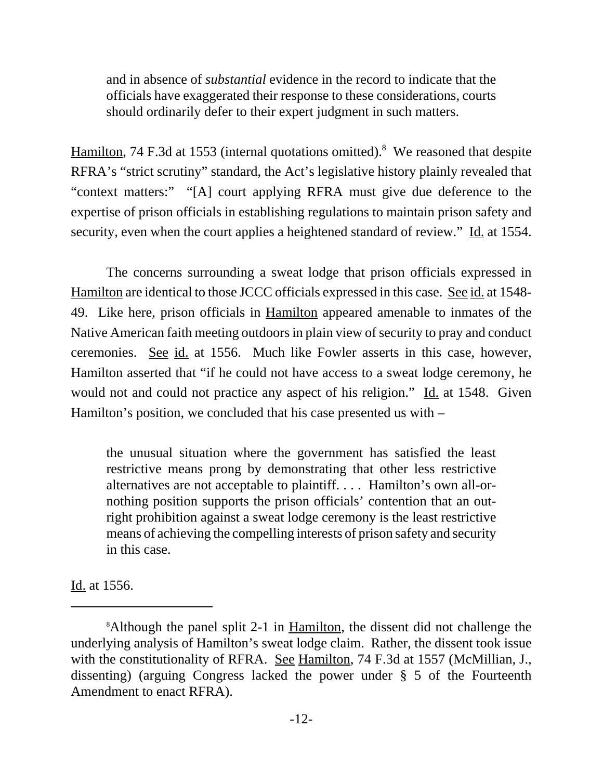and in absence of *substantial* evidence in the record to indicate that the officials have exaggerated their response to these considerations, courts should ordinarily defer to their expert judgment in such matters.

Hamilton, 74 F.3d at 1553 (internal quotations omitted).<sup>8</sup> We reasoned that despite RFRA's "strict scrutiny" standard, the Act's legislative history plainly revealed that "context matters:" "[A] court applying RFRA must give due deference to the expertise of prison officials in establishing regulations to maintain prison safety and security, even when the court applies a heightened standard of review." Id. at 1554.

The concerns surrounding a sweat lodge that prison officials expressed in Hamilton are identical to those JCCC officials expressed in this case. See id. at 1548- 49. Like here, prison officials in Hamilton appeared amenable to inmates of the Native American faith meeting outdoors in plain view of security to pray and conduct ceremonies. See id. at 1556. Much like Fowler asserts in this case, however, Hamilton asserted that "if he could not have access to a sweat lodge ceremony, he would not and could not practice any aspect of his religion." Id. at 1548. Given Hamilton's position, we concluded that his case presented us with –

the unusual situation where the government has satisfied the least restrictive means prong by demonstrating that other less restrictive alternatives are not acceptable to plaintiff. . . . Hamilton's own all-ornothing position supports the prison officials' contention that an outright prohibition against a sweat lodge ceremony is the least restrictive means of achieving the compelling interests of prison safety and security in this case.

Id. at 1556.

<sup>&</sup>lt;sup>8</sup>Although the panel split 2-1 in **Hamilton**, the dissent did not challenge the underlying analysis of Hamilton's sweat lodge claim. Rather, the dissent took issue with the constitutionality of RFRA. See Hamilton, 74 F.3d at 1557 (McMillian, J., dissenting) (arguing Congress lacked the power under § 5 of the Fourteenth Amendment to enact RFRA).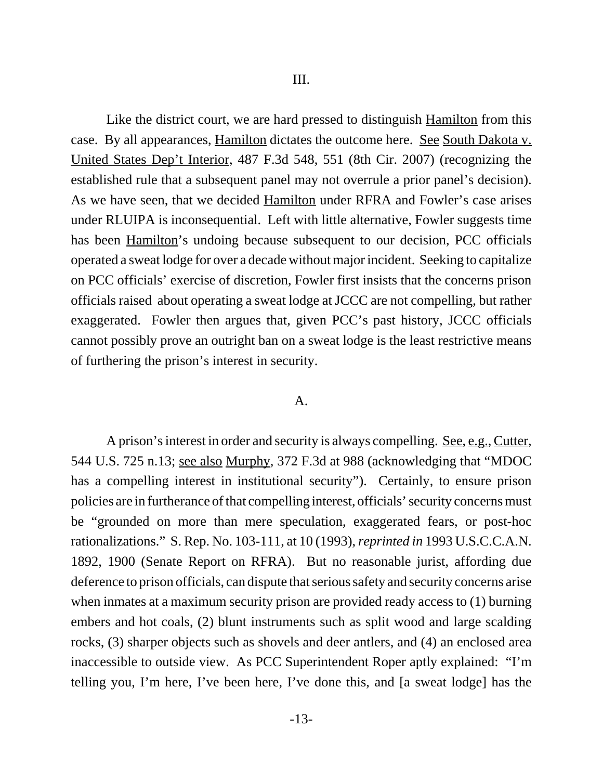Like the district court, we are hard pressed to distinguish Hamilton from this case. By all appearances, Hamilton dictates the outcome here. See South Dakota v. United States Dep't Interior, 487 F.3d 548, 551 (8th Cir. 2007) (recognizing the established rule that a subsequent panel may not overrule a prior panel's decision). As we have seen, that we decided Hamilton under RFRA and Fowler's case arises under RLUIPA is inconsequential. Left with little alternative, Fowler suggests time has been Hamilton's undoing because subsequent to our decision, PCC officials operated a sweat lodge for over a decade without major incident. Seeking to capitalize on PCC officials' exercise of discretion, Fowler first insists that the concerns prison officials raised about operating a sweat lodge at JCCC are not compelling, but rather exaggerated. Fowler then argues that, given PCC's past history, JCCC officials cannot possibly prove an outright ban on a sweat lodge is the least restrictive means of furthering the prison's interest in security.

#### A.

A prison's interest in order and security is always compelling. See, e.g., Cutter, 544 U.S. 725 n.13; see also Murphy, 372 F.3d at 988 (acknowledging that "MDOC has a compelling interest in institutional security"). Certainly, to ensure prison policies are in furtherance of that compelling interest, officials' security concerns must be "grounded on more than mere speculation, exaggerated fears, or post-hoc rationalizations." S. Rep. No. 103-111, at 10 (1993), *reprinted in* 1993 U.S.C.C.A.N. 1892, 1900 (Senate Report on RFRA). But no reasonable jurist, affording due deference to prison officials, can dispute that serious safety and security concerns arise when inmates at a maximum security prison are provided ready access to (1) burning embers and hot coals, (2) blunt instruments such as split wood and large scalding rocks, (3) sharper objects such as shovels and deer antlers, and (4) an enclosed area inaccessible to outside view. As PCC Superintendent Roper aptly explained: "I'm telling you, I'm here, I've been here, I've done this, and [a sweat lodge] has the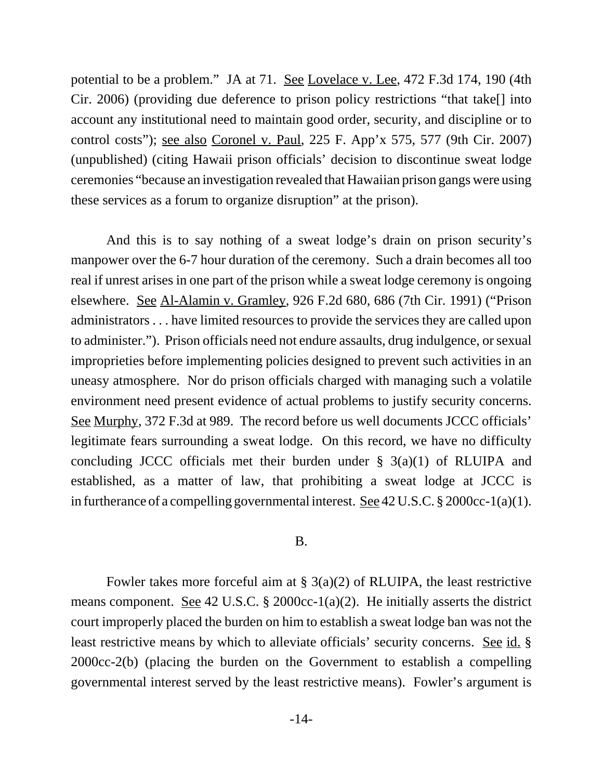potential to be a problem." JA at 71. See Lovelace v. Lee, 472 F.3d 174, 190 (4th Cir. 2006) (providing due deference to prison policy restrictions "that take[] into account any institutional need to maintain good order, security, and discipline or to control costs"); see also Coronel v. Paul, 225 F. App'x 575, 577 (9th Cir. 2007) (unpublished) (citing Hawaii prison officials' decision to discontinue sweat lodge ceremonies "because an investigation revealed that Hawaiian prison gangs were using these services as a forum to organize disruption" at the prison).

And this is to say nothing of a sweat lodge's drain on prison security's manpower over the 6-7 hour duration of the ceremony. Such a drain becomes all too real if unrest arises in one part of the prison while a sweat lodge ceremony is ongoing elsewhere. See Al-Alamin v. Gramley, 926 F.2d 680, 686 (7th Cir. 1991) ("Prison administrators . . . have limited resources to provide the services they are called upon to administer."). Prison officials need not endure assaults, drug indulgence, or sexual improprieties before implementing policies designed to prevent such activities in an uneasy atmosphere. Nor do prison officials charged with managing such a volatile environment need present evidence of actual problems to justify security concerns. See Murphy, 372 F.3d at 989. The record before us well documents JCCC officials' legitimate fears surrounding a sweat lodge. On this record, we have no difficulty concluding JCCC officials met their burden under  $\S$  3(a)(1) of RLUIPA and established, as a matter of law, that prohibiting a sweat lodge at JCCC is in furtherance of a compelling governmental interest. See 42 U.S.C. § 2000cc-1(a)(1).

#### B.

Fowler takes more forceful aim at  $\S$  3(a)(2) of RLUIPA, the least restrictive means component. See 42 U.S.C. § 2000cc-1(a)(2). He initially asserts the district court improperly placed the burden on him to establish a sweat lodge ban was not the least restrictive means by which to alleviate officials' security concerns. See id. § 2000cc-2(b) (placing the burden on the Government to establish a compelling governmental interest served by the least restrictive means). Fowler's argument is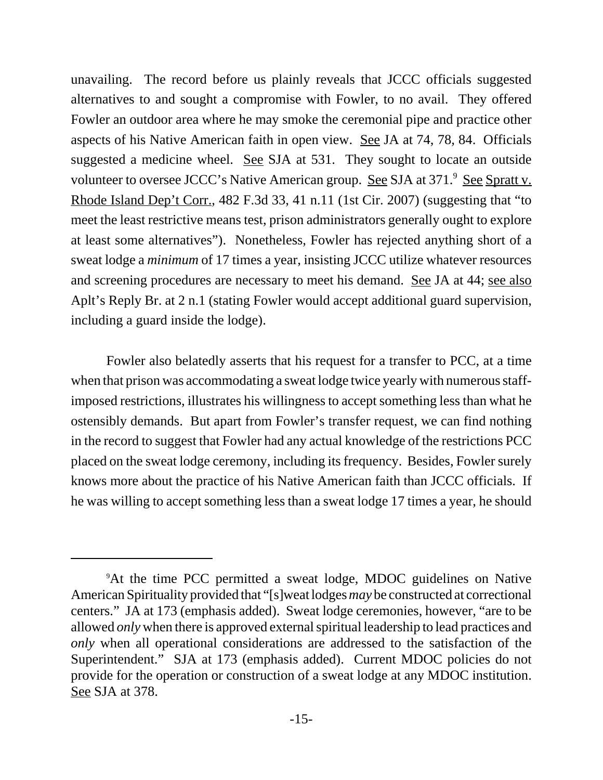unavailing. The record before us plainly reveals that JCCC officials suggested alternatives to and sought a compromise with Fowler, to no avail. They offered Fowler an outdoor area where he may smoke the ceremonial pipe and practice other aspects of his Native American faith in open view. See JA at 74, 78, 84. Officials suggested a medicine wheel. See SJA at 531. They sought to locate an outside volunteer to oversee JCCC's Native American group. See SJA at 371.<sup>9</sup> See Spratt v. Rhode Island Dep't Corr., 482 F.3d 33, 41 n.11 (1st Cir. 2007) (suggesting that "to meet the least restrictive means test, prison administrators generally ought to explore at least some alternatives"). Nonetheless, Fowler has rejected anything short of a sweat lodge a *minimum* of 17 times a year, insisting JCCC utilize whatever resources and screening procedures are necessary to meet his demand. See JA at 44; see also Aplt's Reply Br. at 2 n.1 (stating Fowler would accept additional guard supervision, including a guard inside the lodge).

Fowler also belatedly asserts that his request for a transfer to PCC, at a time when that prison was accommodating a sweat lodge twice yearly with numerous staffimposed restrictions, illustrates his willingness to accept something less than what he ostensibly demands. But apart from Fowler's transfer request, we can find nothing in the record to suggest that Fowler had any actual knowledge of the restrictions PCC placed on the sweat lodge ceremony, including its frequency. Besides, Fowler surely knows more about the practice of his Native American faith than JCCC officials. If he was willing to accept something less than a sweat lodge 17 times a year, he should

<sup>9</sup> At the time PCC permitted a sweat lodge, MDOC guidelines on Native American Spirituality provided that "[s]weat lodges *may* be constructed at correctional centers." JA at 173 (emphasis added). Sweat lodge ceremonies, however, "are to be allowed *only* when there is approved external spiritual leadership to lead practices and *only* when all operational considerations are addressed to the satisfaction of the Superintendent." SJA at 173 (emphasis added). Current MDOC policies do not provide for the operation or construction of a sweat lodge at any MDOC institution. See SJA at 378.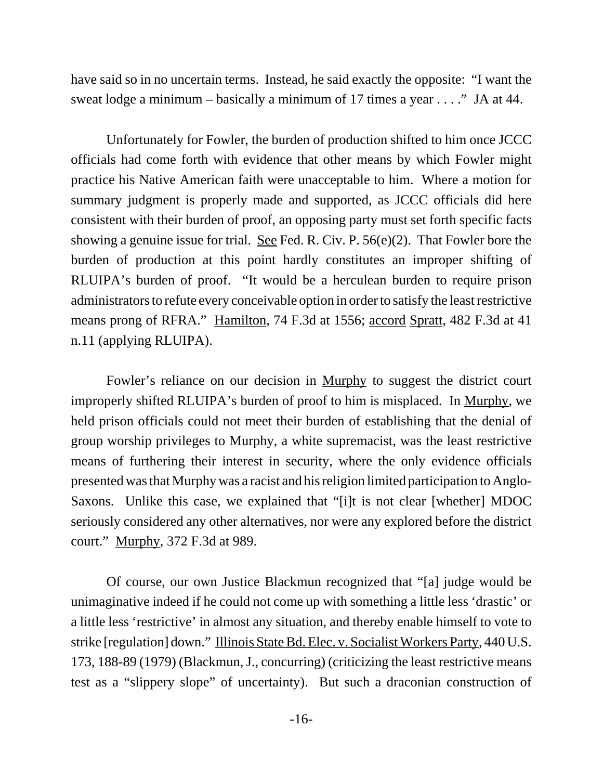have said so in no uncertain terms. Instead, he said exactly the opposite: "I want the sweat lodge a minimum – basically a minimum of 17 times a year . . . ." JA at 44.

Unfortunately for Fowler, the burden of production shifted to him once JCCC officials had come forth with evidence that other means by which Fowler might practice his Native American faith were unacceptable to him. Where a motion for summary judgment is properly made and supported, as JCCC officials did here consistent with their burden of proof, an opposing party must set forth specific facts showing a genuine issue for trial. See Fed. R. Civ. P. 56(e)(2). That Fowler bore the burden of production at this point hardly constitutes an improper shifting of RLUIPA's burden of proof. "It would be a herculean burden to require prison administrators to refute every conceivable option in order to satisfy the least restrictive means prong of RFRA." Hamilton, 74 F.3d at 1556; accord Spratt, 482 F.3d at 41 n.11 (applying RLUIPA).

Fowler's reliance on our decision in Murphy to suggest the district court improperly shifted RLUIPA's burden of proof to him is misplaced. In Murphy, we held prison officials could not meet their burden of establishing that the denial of group worship privileges to Murphy, a white supremacist, was the least restrictive means of furthering their interest in security, where the only evidence officials presented was that Murphy was a racist and his religion limited participation to Anglo-Saxons. Unlike this case, we explained that "[i]t is not clear [whether] MDOC seriously considered any other alternatives, nor were any explored before the district court." Murphy, 372 F.3d at 989.

Of course, our own Justice Blackmun recognized that "[a] judge would be unimaginative indeed if he could not come up with something a little less 'drastic' or a little less 'restrictive' in almost any situation, and thereby enable himself to vote to strike [regulation] down." Illinois State Bd. Elec. v. Socialist Workers Party, 440 U.S. 173, 188-89 (1979) (Blackmun, J., concurring) (criticizing the least restrictive means test as a "slippery slope" of uncertainty). But such a draconian construction of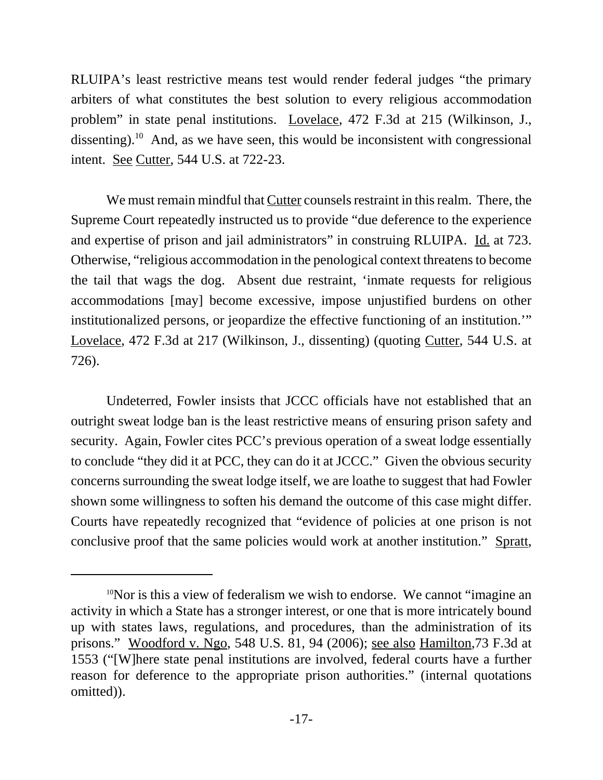RLUIPA's least restrictive means test would render federal judges "the primary arbiters of what constitutes the best solution to every religious accommodation problem" in state penal institutions. Lovelace, 472 F.3d at 215 (Wilkinson, J., dissenting).<sup>10</sup> And, as we have seen, this would be inconsistent with congressional intent. See Cutter, 544 U.S. at 722-23.

We must remain mindful that Cutter counsels restraint in this realm. There, the Supreme Court repeatedly instructed us to provide "due deference to the experience and expertise of prison and jail administrators" in construing RLUIPA. Id. at 723. Otherwise, "religious accommodation in the penological context threatens to become the tail that wags the dog. Absent due restraint, 'inmate requests for religious accommodations [may] become excessive, impose unjustified burdens on other institutionalized persons, or jeopardize the effective functioning of an institution.'" Lovelace, 472 F.3d at 217 (Wilkinson, J., dissenting) (quoting Cutter, 544 U.S. at 726).

Undeterred, Fowler insists that JCCC officials have not established that an outright sweat lodge ban is the least restrictive means of ensuring prison safety and security. Again, Fowler cites PCC's previous operation of a sweat lodge essentially to conclude "they did it at PCC, they can do it at JCCC." Given the obvious security concerns surrounding the sweat lodge itself, we are loathe to suggest that had Fowler shown some willingness to soften his demand the outcome of this case might differ. Courts have repeatedly recognized that "evidence of policies at one prison is not conclusive proof that the same policies would work at another institution." Spratt,

<sup>&</sup>lt;sup>10</sup>Nor is this a view of federalism we wish to endorse. We cannot "imagine an activity in which a State has a stronger interest, or one that is more intricately bound up with states laws, regulations, and procedures, than the administration of its prisons." Woodford v. Ngo, 548 U.S. 81, 94 (2006); see also Hamilton,73 F.3d at 1553 ("[W]here state penal institutions are involved, federal courts have a further reason for deference to the appropriate prison authorities." (internal quotations omitted)).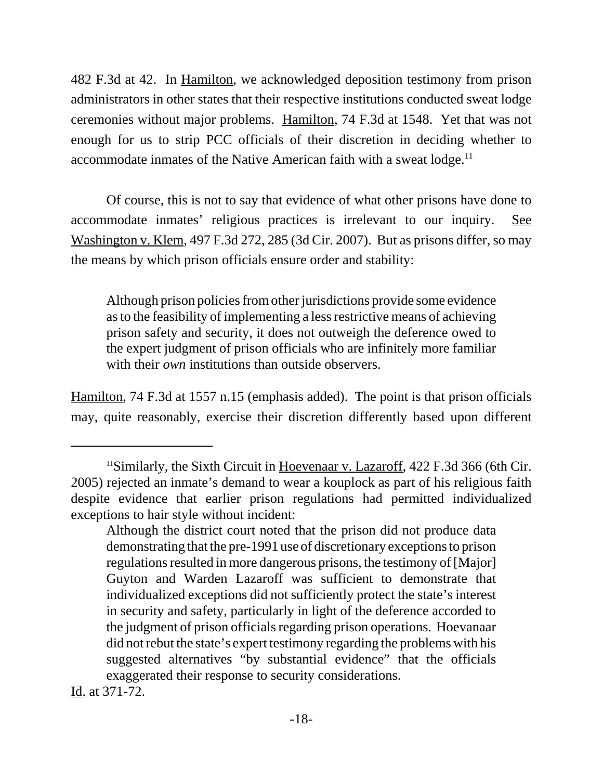482 F.3d at 42. In <u>Hamilton</u>, we acknowledged deposition testimony from prison administrators in other states that their respective institutions conducted sweat lodge ceremonies without major problems. Hamilton, 74 F.3d at 1548. Yet that was not enough for us to strip PCC officials of their discretion in deciding whether to accommodate inmates of the Native American faith with a sweat  $\log e$ .<sup>11</sup>

Of course, this is not to say that evidence of what other prisons have done to accommodate inmates' religious practices is irrelevant to our inquiry. See Washington v. Klem, 497 F.3d 272, 285 (3d Cir. 2007). But as prisons differ, so may the means by which prison officials ensure order and stability:

Although prison policies from other jurisdictions provide some evidence as to the feasibility of implementing a less restrictive means of achieving prison safety and security, it does not outweigh the deference owed to the expert judgment of prison officials who are infinitely more familiar with their *own* institutions than outside observers.

Hamilton, 74 F.3d at 1557 n.15 (emphasis added). The point is that prison officials may, quite reasonably, exercise their discretion differently based upon different

Id. at 371-72.

<sup>11</sup>Similarly, the Sixth Circuit in Hoevenaar v. Lazaroff, 422 F.3d 366 (6th Cir. 2005) rejected an inmate's demand to wear a kouplock as part of his religious faith despite evidence that earlier prison regulations had permitted individualized exceptions to hair style without incident:

Although the district court noted that the prison did not produce data demonstrating that the pre-1991 use of discretionary exceptions to prison regulations resulted in more dangerous prisons, the testimony of [Major] Guyton and Warden Lazaroff was sufficient to demonstrate that individualized exceptions did not sufficiently protect the state's interest in security and safety, particularly in light of the deference accorded to the judgment of prison officials regarding prison operations. Hoevanaar did not rebut the state's expert testimony regarding the problems with his suggested alternatives "by substantial evidence" that the officials exaggerated their response to security considerations.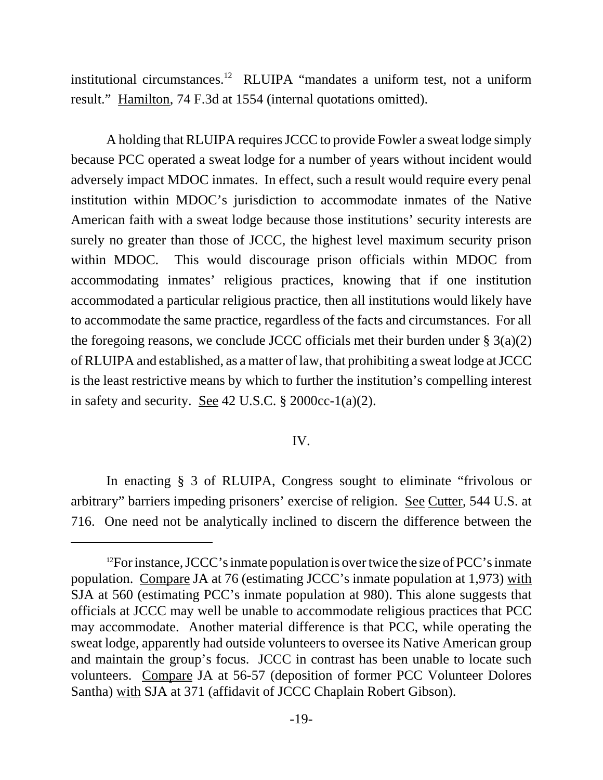institutional circumstances.12 RLUIPA "mandates a uniform test, not a uniform result." Hamilton, 74 F.3d at 1554 (internal quotations omitted).

A holding that RLUIPA requires JCCC to provide Fowler a sweat lodge simply because PCC operated a sweat lodge for a number of years without incident would adversely impact MDOC inmates. In effect, such a result would require every penal institution within MDOC's jurisdiction to accommodate inmates of the Native American faith with a sweat lodge because those institutions' security interests are surely no greater than those of JCCC, the highest level maximum security prison within MDOC. This would discourage prison officials within MDOC from accommodating inmates' religious practices, knowing that if one institution accommodated a particular religious practice, then all institutions would likely have to accommodate the same practice, regardless of the facts and circumstances. For all the foregoing reasons, we conclude JCCC officials met their burden under  $\S 3(a)(2)$ of RLUIPA and established, as a matter of law, that prohibiting a sweat lodge at JCCC is the least restrictive means by which to further the institution's compelling interest in safety and security. <u>See</u> 42 U.S.C.  $\S$  2000cc-1(a)(2).

### IV.

In enacting § 3 of RLUIPA, Congress sought to eliminate "frivolous or arbitrary" barriers impeding prisoners' exercise of religion. See Cutter, 544 U.S. at 716. One need not be analytically inclined to discern the difference between the

<sup>&</sup>lt;sup>12</sup>For instance, JCCC's inmate population is over twice the size of PCC's inmate population. Compare JA at 76 (estimating JCCC's inmate population at 1,973) with SJA at 560 (estimating PCC's inmate population at 980). This alone suggests that officials at JCCC may well be unable to accommodate religious practices that PCC may accommodate. Another material difference is that PCC, while operating the sweat lodge, apparently had outside volunteers to oversee its Native American group and maintain the group's focus. JCCC in contrast has been unable to locate such volunteers. Compare JA at 56-57 (deposition of former PCC Volunteer Dolores Santha) with SJA at 371 (affidavit of JCCC Chaplain Robert Gibson).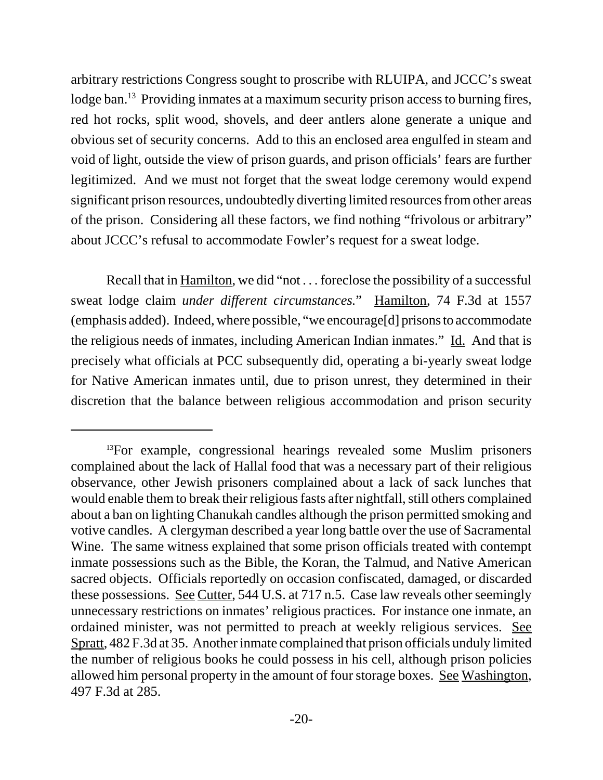arbitrary restrictions Congress sought to proscribe with RLUIPA, and JCCC's sweat lodge ban.<sup>13</sup> Providing inmates at a maximum security prison access to burning fires, red hot rocks, split wood, shovels, and deer antlers alone generate a unique and obvious set of security concerns. Add to this an enclosed area engulfed in steam and void of light, outside the view of prison guards, and prison officials' fears are further legitimized. And we must not forget that the sweat lodge ceremony would expend significant prison resources, undoubtedly diverting limited resources from other areas of the prison. Considering all these factors, we find nothing "frivolous or arbitrary" about JCCC's refusal to accommodate Fowler's request for a sweat lodge.

Recall that in Hamilton, we did "not . . . foreclose the possibility of a successful sweat lodge claim *under different circumstances.*"Hamilton, 74 F.3d at 1557 (emphasis added). Indeed, where possible, "we encourage[d] prisons to accommodate the religious needs of inmates, including American Indian inmates." Id. And that is precisely what officials at PCC subsequently did, operating a bi-yearly sweat lodge for Native American inmates until, due to prison unrest, they determined in their discretion that the balance between religious accommodation and prison security

<sup>&</sup>lt;sup>13</sup>For example, congressional hearings revealed some Muslim prisoners complained about the lack of Hallal food that was a necessary part of their religious observance, other Jewish prisoners complained about a lack of sack lunches that would enable them to break their religious fasts after nightfall, still others complained about a ban on lighting Chanukah candles although the prison permitted smoking and votive candles. A clergyman described a year long battle over the use of Sacramental Wine. The same witness explained that some prison officials treated with contempt inmate possessions such as the Bible, the Koran, the Talmud, and Native American sacred objects. Officials reportedly on occasion confiscated, damaged, or discarded these possessions. See Cutter, 544 U.S. at 717 n.5. Case law reveals other seemingly unnecessary restrictions on inmates' religious practices. For instance one inmate, an ordained minister, was not permitted to preach at weekly religious services. See Spratt, 482 F.3d at 35. Another inmate complained that prison officials unduly limited the number of religious books he could possess in his cell, although prison policies allowed him personal property in the amount of four storage boxes. See Washington, 497 F.3d at 285.